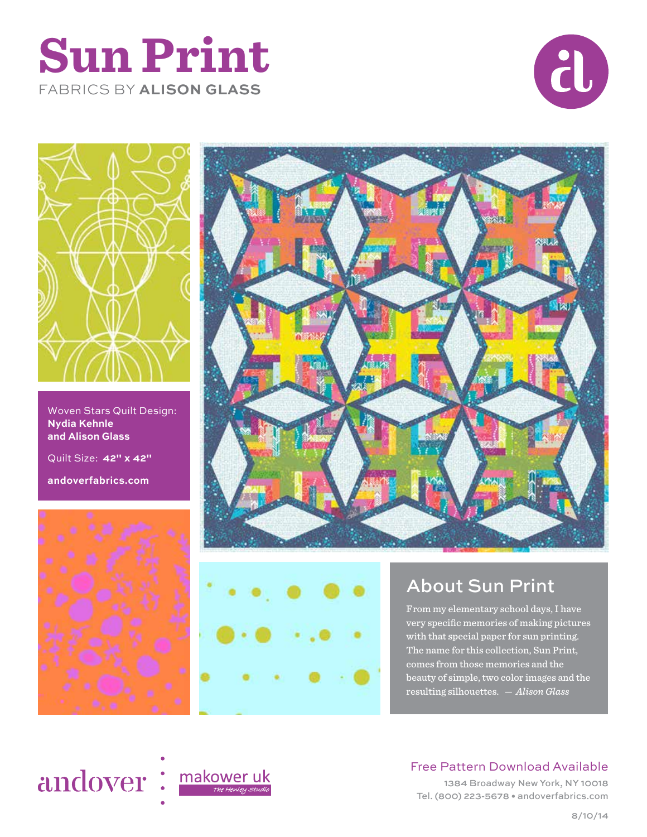## **Sun Print** FABRICS BY **ALISON GLASS**





Woven Stars Quilt Design: **Nydia Kehnle and Alison Glass**

Quilt Size: **42" x 42"** 

**andoverfabrics.com**







## About Sun Print

From my elementary school days, I have very specific memories of making pictures with that special paper for sun printing. The name for this collection, Sun Print, comes from those memories and the beauty of simple, two color images and the resulting silhouettes. *— Alison Glass*

# andover: makoweruk



### Free Pattern Download Available

1384 Broadway New York, NY 10018 Tel. (800) 223-5678 • andoverfabrics.com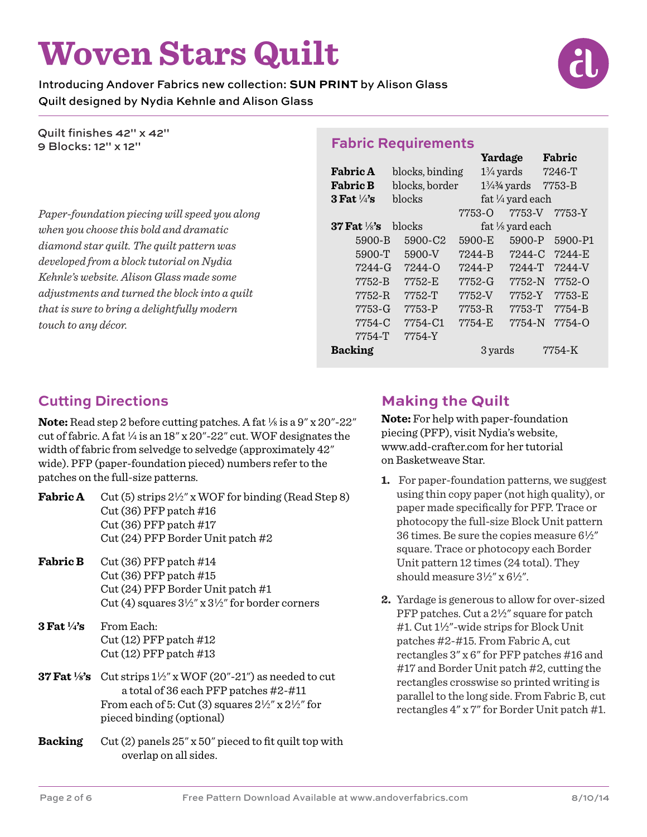# **Woven Stars Quilt**

Introducing Andover Fabrics new collection: **SUN PRINT** by Alison Glass Quilt designed by Nydia Kehnle and Alison Glass

Quilt finishes 42" x 42" 9 Blocks: 12" x 12"

*Paper-foundation piecing will speed you along when you choose this bold and dramatic diamond star quilt. The quilt pattern was developed from a block tutorial on Nydia Kehnle's website. Alison Glass made some adjustments and turned the block into a quilt that is sure to bring a delightfully modern touch to any décor.* 

#### **Fabric Requirements**

|                           |                 | Yardage              |                        | Fabric     |
|---------------------------|-----------------|----------------------|------------------------|------------|
| <b>Fabric A</b>           | blocks, binding | $1\frac{3}{4}$ yards |                        | 7246-T     |
| <b>Fabric B</b>           | blocks, border  |                      | $1\frac{3}{4}\%$ yards | 7753-B     |
| $3$ Fat $\frac{1}{4}$ 's  | blocks          | fat 1/4 yard each    |                        |            |
|                           |                 | 7753-0               | 7753-V                 | 7753-Y     |
| $37$ Fat $\frac{1}{8}$ 's | blocks          |                      | fat 1/8 yard each      |            |
| 5900-B                    | 5900-C2         | 5900-E               | 5900-P                 | 5900-P1    |
| 5900-T                    | 5900-V          | 7244-B               | 7244-C                 | $7244 - E$ |
| 7244-G                    | 7244-0          | 7244-P               | 7244-T                 | 7244-V     |
| 7752-B                    | 7752-E          | 7752-G               | 7752-N                 | 7752-0     |
| 7752-R                    | 7752-T          | 7752-V               | 7752-Y                 | 7753-E     |
| 7753-G                    | 7753-P          | 7753-R               | 7753-T                 | 7754-B     |
| 7754-C                    | 7754-C1         | 7754-E               | 7754-N                 | 7754-0     |
| 7754-T                    | 7754-Y          |                      |                        |            |
| <b>Backing</b>            |                 | 3 yards              |                        | 7754-K     |

#### **Cutting Directions**

**Note:** Read step 2 before cutting patches. A fat  $\frac{1}{8}$  is a 9" x 20"-22" cut of fabric. A fat  $\frac{1}{4}$  is an 18" x 20"-22" cut. WOF designates the width of fabric from selvedge to selvedge (approximately 42" wide). PFP (paper-foundation pieced) numbers refer to the patches on the full-size patterns.

| <b>Fabric A</b> | Cut (5) strips $2\frac{1}{2}$ " x WOF for binding (Read Step 8) |
|-----------------|-----------------------------------------------------------------|
|                 | $Cut(36)$ PFP patch $\#16$                                      |
|                 | $Cut(36)$ PFP patch $\#17$                                      |
|                 | Cut (24) PFP Border Unit patch $#2$                             |
|                 |                                                                 |

- **Fabric B** Cut (36) PFP patch #14 Cut (36) PFP patch #15 Cut (24) PFP Border Unit patch #1 Cut (4) squares  $3\frac{1}{2}$ " x  $3\frac{1}{2}$ " for border corners
- **3 Fat 4's** From Each: Cut (12) PFP patch #12 Cut (12) PFP patch #13
- **37 Fat**  $\frac{1}{8}$ 's Cut strips  $\frac{1}{2}$ " x WOF (20"-21") as needed to cut a total of 36 each PFP patches #2-#11 From each of 5: Cut (3) squares  $2\frac{1}{2}$ " x  $2\frac{1}{2}$ " for pieced binding (optional)
- **Backing** Cut (2) panels 25" x 50" pieced to fit quilt top with overlap on all sides.

#### **Making the Quilt**

**Note:** For help with paper-foundation piecing (PFP), visit Nydia's website, www.add-crafter.com for her tutorial on Basketweave Star.

- **1.** For paper-foundation patterns, we suggest using thin copy paper (not high quality), or paper made specifically for PFP. Trace or photocopy the full-size Block Unit pattern 36 times. Be sure the copies measure  $6\frac{1}{2}$ " square. Trace or photocopy each Border Unit pattern 12 times (24 total). They should measure  $3\frac{1}{2}$ " x  $6\frac{1}{2}$ ".
- **2.** Yardage is generous to allow for over-sized PFP patches. Cut a  $2\frac{1}{2}$  square for patch #1. Cut 1½"-wide strips for Block Unit patches #2-#15. From Fabric A, cut rectangles 3" x 6" for PFP patches #16 and #17 and Border Unit patch #2, cutting the rectangles crosswise so printed writing is parallel to the long side. From Fabric B, cut rectangles 4" x 7" for Border Unit patch #1.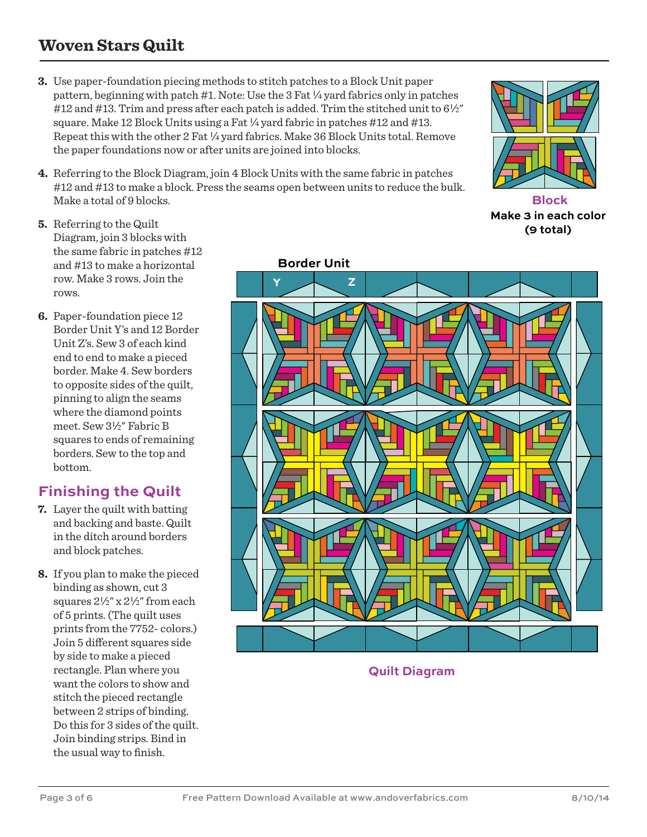## **Woven Stars Quilt**

- **3.** Use paper-foundation piecing methods to stitch patches to a Block Unit paper pattern, beginning with patch  $#1$ . Note: Use the 3 Fat  $\frac{1}{4}$  yard fabrics only in patches #12 and #13. Trim and press after each patch is added. Trim the stitched unit to  $6\frac{1}{2}$ " square. Make 12 Block Units using a Fat  $\frac{1}{4}$  yard fabric in patches #12 and #13. Repeat this with the other 2 Fat  $\frac{1}{4}$  yard fabrics. Make 36 Block Units total. Remove the paper foundations now or after units are joined into blocks.
- **4.** Referring to the Block Diagram, join 4 Block Units with the same fabric in patches #12 and #13 to make a block. Press the seams open between units to reduce the bulk. Make a total of 9 blocks.
- 

**Block Make 3 in each color (9 total)**

- **5.** Referring to the Quilt Diagram, join 3 blocks with the same fabric in patches #12 and #13 to make a horizontal row. Make 3 rows. Join the rows.
- **6.** Paper-foundation piece 12 Border Unit Y's and 12 Border Unit Z's. Sew 3 of each kind end to end to make a pieced border. Make 4. Sew borders to opposite sides of the quilt, pinning to align the seams where the diamond points meet. Sew 3½" Fabric B squares to ends of remaining borders. Sew to the top and bottom.

#### **Finishing the Quilt**

- **7.** Layer the quilt with batting and backing and baste. Quilt in the ditch around borders and block patches.
- **8.** If you plan to make the pieced binding as shown, cut 3 squares  $2\frac{1}{2}$ " x  $2\frac{1}{2}$ " from each of 5 prints. (The quilt uses prints from the 7752- colors.) Join 5 different squares side by side to make a pieced rectangle. Plan where you want the colors to show and stitch the pieced rectangle between 2 strips of binding. Do this for 3 sides of the quilt. Join binding strips. Bind in the usual way to finish.



**Quilt Diagram**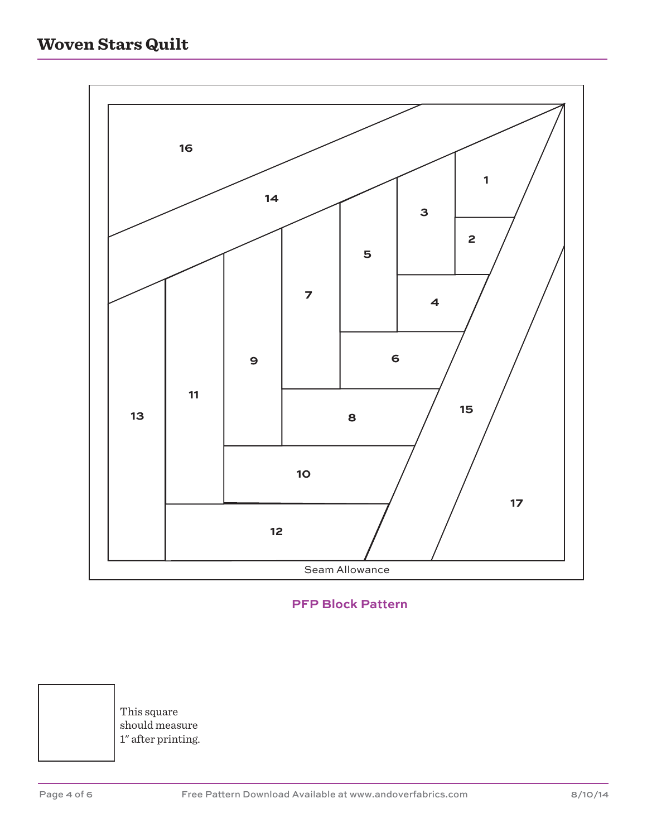

#### **PFP Block Pattern**

This square should measure 1" after printing.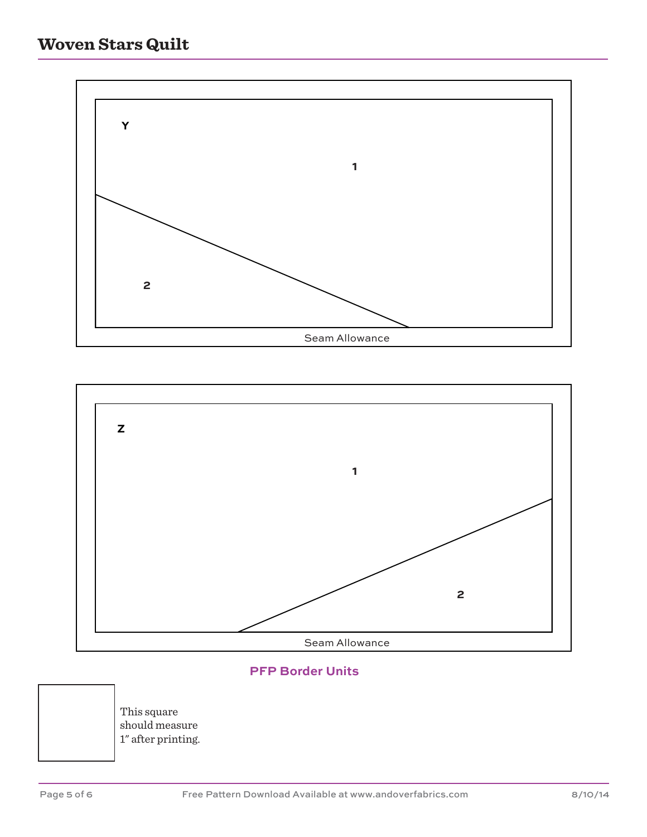



#### **PFP Border Units**

This square should measure 1" after printing.